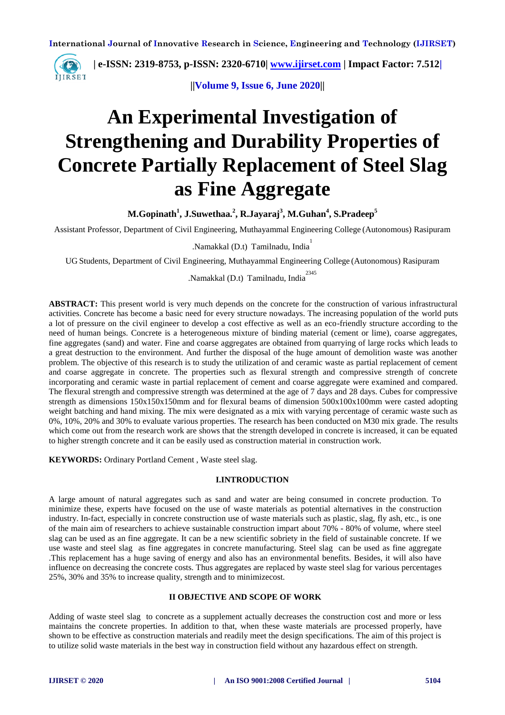

 **| e-ISSN: 2319-8753, p-ISSN: 2320-6710| [www.ijirset.com](http://www.ijirset.com/) | Impact Factor: 7.512|**

 **||Volume 9, Issue 6, June 2020||** 

# **An Experimental Investigation of Strengthening and Durability Properties of Concrete Partially Replacement of Steel Slag as Fine Aggregate**

**M.Gopinath<sup>1</sup> , J.Suwethaa.<sup>2</sup> , R.Jayaraj<sup>3</sup> , M.Guhan<sup>4</sup> , S.Pradeep<sup>5</sup>**

Assistant Professor, Department of Civil Engineering, Muthayammal Engineering College (Autonomous) Rasipuram

.Namakkal (D.t) Tamilnadu, India 1

UG Students, Department of Civil Engineering, Muthayammal Engineering College (Autonomous) Rasipuram

Namakkal (D.t) Tamilnadu, India<sup>2345</sup>

**ABSTRACT:** This present world is very much depends on the concrete for the construction of various infrastructural activities. Concrete has become a basic need for every structure nowadays. The increasing population of the world puts a lot of pressure on the civil engineer to develop a cost effective as well as an eco-friendly structure according to the need of human beings. Concrete is a heterogeneous mixture of binding material (cement or lime), coarse aggregates, fine aggregates (sand) and water. Fine and coarse aggregates are obtained from quarrying of large rocks which leads to a great destruction to the environment. And further the disposal of the huge amount of demolition waste was another problem. The objective of this research is to study the utilization of and ceramic waste as partial replacement of cement and coarse aggregate in concrete. The properties such as flexural strength and compressive strength of concrete incorporating and ceramic waste in partial replacement of cement and coarse aggregate were examined and compared. The flexural strength and compressive strength was determined at the age of 7 days and 28 days. Cubes for compressive strength as dimensions 150x150x150mm and for flexural beams of dimension 500x100x100mm were casted adopting weight batching and hand mixing. The mix were designated as a mix with varying percentage of ceramic waste such as 0%, 10%, 20% and 30% to evaluate various properties. The research has been conducted on M30 mix grade. The results which come out from the research work are shows that the strength developed in concrete is increased, it can be equated to higher strength concrete and it can be easily used as construction material in construction work.

**KEYWORDS:** Ordinary Portland Cement , Waste steel slag.

### **I.INTRODUCTION**

A large amount of natural aggregates such as sand and water are being consumed in concrete production. To minimize these, experts have focused on the use of waste materials as potential alternatives in the construction industry. In-fact, especially in concrete construction use of waste materials such as plastic, slag, fly ash, etc., is one of the main aim of researchers to achieve sustainable construction impart about 70% - 80% of volume, where steel slag can be used as an fine aggregate. It can be a new scientific sobriety in the field of sustainable concrete. If we use waste and steel slag as fine aggregates in concrete manufacturing. Steel slag can be used as fine aggregate .This replacement has a huge saving of energy and also has an environmental benefits. Besides, it will also have influence on decreasing the concrete costs. Thus aggregates are replaced by waste steel slag for various percentages 25%, 30% and 35% to increase quality, strength and to minimizecost.

### **II OBJECTIVE AND SCOPE OF WORK**

Adding of waste steel slag to concrete as a supplement actually decreases the construction cost and more or less maintains the concrete properties. In addition to that, when these waste materials are processed properly, have shown to be effective as construction materials and readily meet the design specifications. The aim of this project is to utilize solid waste materials in the best way in construction field without any hazardous effect on strength.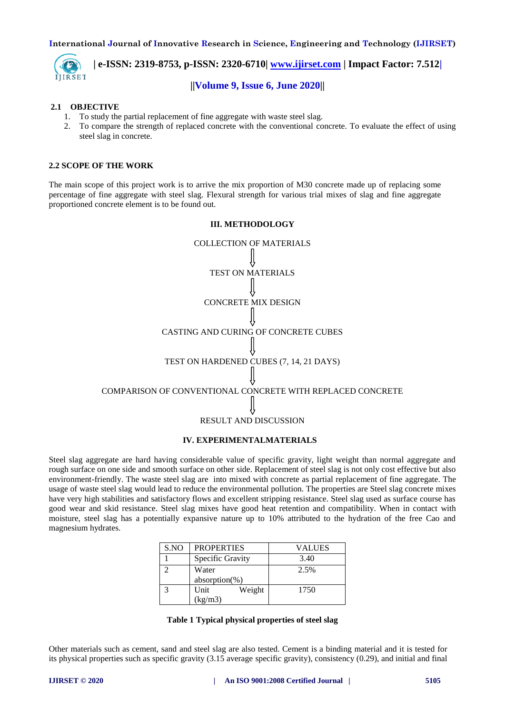

 **| e-ISSN: 2319-8753, p-ISSN: 2320-6710| [www.ijirset.com](http://www.ijirset.com/) | Impact Factor: 7.512| ||Volume 9, Issue 6, June 2020||** 

# **2.1 OBJECTIVE**

- 1. To study the partial replacement of fine aggregate with waste steel slag.
- 2. To compare the strength of replaced concrete with the conventional concrete. To evaluate the effect of using steel slag in concrete.

## **2.2 SCOPE OF THE WORK**

The main scope of this project work is to arrive the mix proportion of M30 concrete made up of replacing some percentage of fine aggregate with steel slag. Flexural strength for various trial mixes of slag and fine aggregate proportioned concrete element is to be found out.



### **IV. EXPERIMENTALMATERIALS**

Steel slag aggregate are hard having considerable value of specific gravity, light weight than normal aggregate and rough surface on one side and smooth surface on other side. Replacement of steel slag is not only cost effective but also environment-friendly. The waste steel slag are into mixed with concrete as partial replacement of fine aggregate. The usage of waste steel slag would lead to reduce the environmental pollution. The properties are Steel slag concrete mixes have very high stabilities and satisfactory flows and excellent stripping resistance. Steel slag used as surface course has good wear and skid resistance. Steel slag mixes have good heat retention and compatibility. When in contact with moisture, steel slag has a potentially expansive nature up to 10% attributed to the hydration of the free Cao and magnesium hydrates.

| S.NO | <b>PROPERTIES</b> |        | VALUES |  |
|------|-------------------|--------|--------|--|
|      | Specific Gravity  |        | 3.40   |  |
|      | Water             |        | 2.5%   |  |
|      | $absorption$ %)   |        |        |  |
|      | Unit              | Weight | 1750   |  |
|      | (kg/m3)           |        |        |  |

|  |  |  |  | Table 1 Typical physical properties of steel slag |
|--|--|--|--|---------------------------------------------------|
|--|--|--|--|---------------------------------------------------|

Other materials such as cement, sand and steel slag are also tested. Cement is a binding material and it is tested for its physical properties such as specific gravity (3.15 average specific gravity), consistency (0.29), and initial and final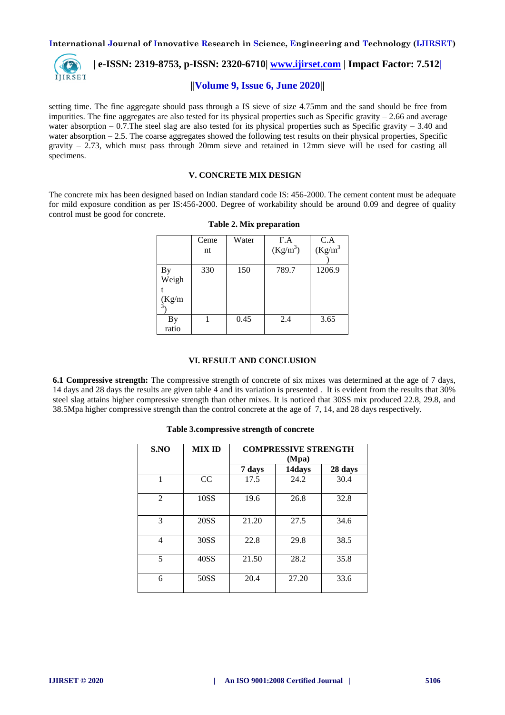

# **||Volume 9, Issue 6, June 2020||**

setting time. The fine aggregate should pass through a IS sieve of size 4.75mm and the sand should be free from impurities. The fine aggregates are also tested for its physical properties such as Specific gravity  $-2.66$  and average water absorption – 0.7. The steel slag are also tested for its physical properties such as Specific gravity – 3.40 and water absorption  $-2.5$ . The coarse aggregates showed the following test results on their physical properties, Specific gravity  $-2.73$ , which must pass through 20mm sieve and retained in 12mm sieve will be used for casting all specimens.

## **V. CONCRETE MIX DESIGN**

The concrete mix has been designed based on Indian standard code IS: 456-2000. The cement content must be adequate for mild exposure condition as per IS:456-2000. Degree of workability should be around 0.09 and degree of quality control must be good for concrete.

|                       | Ceme<br>nt | Water | F.A<br>$(Kg/m^3)$ | $C.A$<br>(Kg/m <sup>3</sup> |
|-----------------------|------------|-------|-------------------|-----------------------------|
| By<br>Weigh<br>(Kg/m) | 330        | 150   | 789.7             | 1206.9                      |
| Вy<br>ratio           |            | 0.45  | 2.4               | 3.65                        |

**Table 2. Mix preparation**

### **VI. RESULT AND CONCLUSION**

**6.1 Compressive strength:** The compressive strength of concrete of six mixes was determined at the age of 7 days, 14 days and 28 days the results are given table 4 and its variation is presented . It is evident from the results that 30% steel slag attains higher compressive strength than other mixes. It is noticed that 30SS mix produced 22.8, 29.8, and 38.5Mpa higher compressive strength than the control concrete at the age of 7, 14, and 28 days respectively.

# **S.NO MIX ID COMPRESSIVE STRENGTH (Mpa) 7 days 14days 28 days** 1 | CC | 17.5 | 24.2 | 30.4 2 | 10SS | 19.6 | 26.8 | 32.8 3 20SS 21.20 27.5 34.6 4 | 30SS | 22.8 | 29.8 | 38.5 5 | 40SS | 21.50 | 28.2 | 35.8 6 | 50SS | 20.4 | 27.20 | 33.6

#### **Table 3.compressive strength of concrete**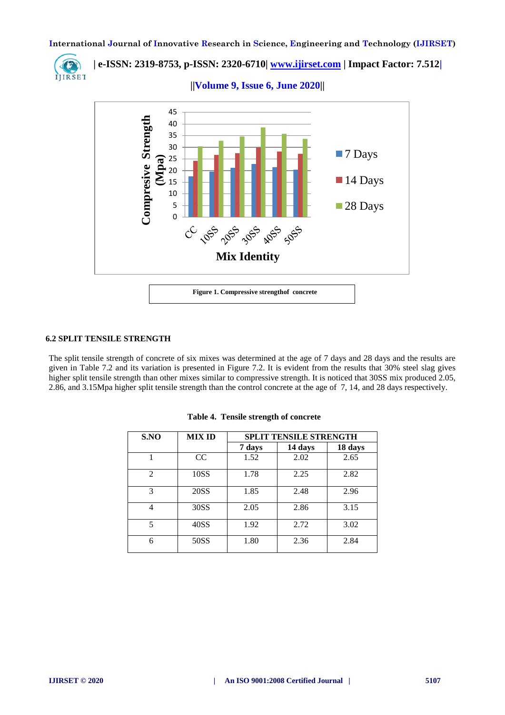

 **| e-ISSN: 2319-8753, p-ISSN: 2320-6710| [www.ijirset.com](http://www.ijirset.com/) | Impact Factor: 7.512|**





### **6.2 SPLIT TENSILE STRENGTH**

The split tensile strength of concrete of six mixes was determined at the age of 7 days and 28 days and the results are given in Table 7.2 and its variation is presented in Figure 7.2. It is evident from the results that 30% steel slag gives higher split tensile strength than other mixes similar to compressive strength. It is noticed that 30SS mix produced 2.05, 2.86, and 3.15Mpa higher split tensile strength than the control concrete at the age of 7, 14, and 28 days respectively.

| S.NO                        | <b>MIX ID</b> | <b>SPLIT TENSILE STRENGTH</b> |         |         |  |
|-----------------------------|---------------|-------------------------------|---------|---------|--|
|                             |               | 7 days                        | 14 days | 18 days |  |
|                             | CC            | 1.52                          | 2.02    | 2.65    |  |
| $\mathcal{D}_{\mathcal{L}}$ | 10SS          | 1.78                          | 2.25    | 2.82    |  |
| 3                           | 20SS          | 1.85                          | 2.48    | 2.96    |  |
| 4                           | 30SS          | 2.05                          | 2.86    | 3.15    |  |
| 5                           | 40SS          | 1.92                          | 2.72    | 3.02    |  |
| 6                           | 50SS          | 1.80                          | 2.36    | 2.84    |  |

**Table 4. Tensile strength of concrete**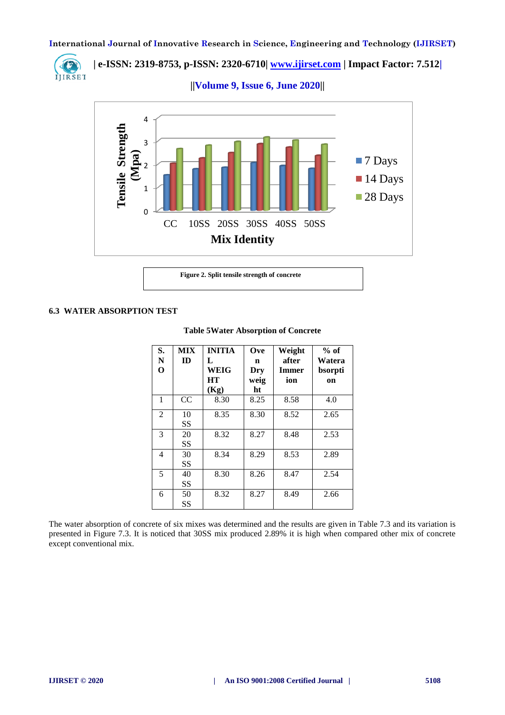

 **| e-ISSN: 2319-8753, p-ISSN: 2320-6710| [www.ijirset.com](http://www.ijirset.com/) | Impact Factor: 7.512|**

 **||Volume 9, Issue 6, June 2020||** 



### **6.3 WATER ABSORPTION TEST**

| S.<br>N     | <b>MIX</b><br>ID | <b>INITIA</b><br>L | Ove<br>n    | Weight<br>after     | $%$ of<br>Watera |
|-------------|------------------|--------------------|-------------|---------------------|------------------|
| $\mathbf 0$ |                  | WEIG<br>HТ         | Dry<br>weig | <b>Immer</b><br>ion | bsorpti<br>on    |
|             |                  | (Kg)               | ht          |                     |                  |
| 1           | CC               | 8.30               | 8.25        | 8.58                | 4.0              |
| 2           | 10               | 8.35               | 8.30        | 8.52                | 2.65             |
|             | SS               |                    |             |                     |                  |
| 3           | 20               | 8.32               | 8.27        | 8.48                | 2.53             |
|             | SS               |                    |             |                     |                  |
| 4           | 30               | 8.34               | 8.29        | 8.53                | 2.89             |
|             | SS               |                    |             |                     |                  |
| 5           | 40               | 8.30               | 8.26        | 8.47                | 2.54             |
|             | SS               |                    |             |                     |                  |
| 6           | 50               | 8.32               | 8.27        | 8.49                | 2.66             |
|             | SS               |                    |             |                     |                  |

### **Table 5Water Absorption of Concrete**

The water absorption of concrete of six mixes was determined and the results are given in Table 7.3 and its variation is presented in Figure 7.3. It is noticed that 30SS mix produced 2.89% it is high when compared other mix of concrete except conventional mix.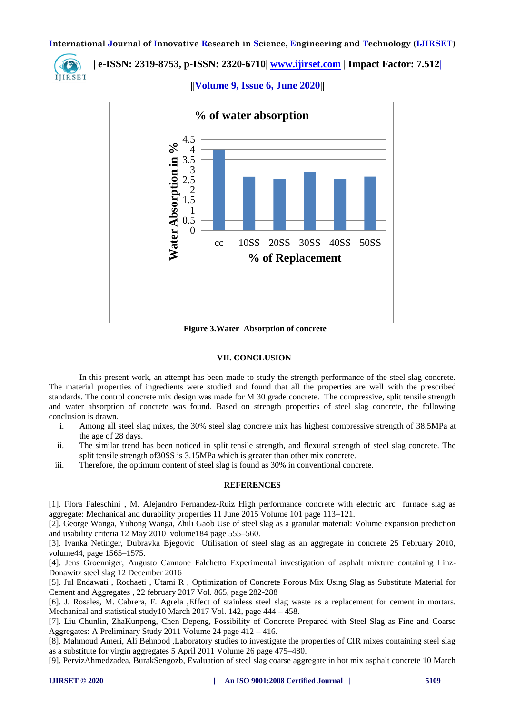IIIRSET

# **| e-ISSN: 2319-8753, p-ISSN: 2320-6710| [www.ijirset.com](http://www.ijirset.com/) | Impact Factor: 7.512|**

 **||Volume 9, Issue 6, June 2020||** 



**Figure 3.Water Absorption of concrete**

### **VII. CONCLUSION**

In this present work, an attempt has been made to study the strength performance of the steel slag concrete. The material properties of ingredients were studied and found that all the properties are well with the prescribed standards. The control concrete mix design was made for M 30 grade concrete. The compressive, split tensile strength and water absorption of concrete was found. Based on strength properties of steel slag concrete, the following conclusion is drawn.

- i. Among all steel slag mixes, the 30% steel slag concrete mix has highest compressive strength of 38.5MPa at the age of 28 days.
- ii. The similar trend has been noticed in split tensile strength, and flexural strength of steel slag concrete. The split tensile strength of30SS is 3.15MPa which is greater than other mix concrete.
- iii. Therefore, the optimum content of steel slag is found as 30% in conventional concrete.

### **REFERENCES**

[1]. Flora Faleschini , M. Alejandro Fernandez-Ruiz High performance concrete with electric arc furnace slag as aggregate: Mechanical and durability properties 11 June 2015 Volume 101 page 113–121.

[2]. George Wanga, Yuhong Wanga, Zhili Gaob Use of steel slag as a granular material: Volume expansion prediction and usability criteria 12 May 2010 volume184 page 555–560.

[3]. Ivanka Netinger, Dubravka Bjegovic Utilisation of steel slag as an aggregate in concrete 25 February 2010, volume44, page 1565–1575.

[4]. Jens Groenniger, Augusto Cannone Falchetto Experimental investigation of asphalt mixture containing Linz-Donawitz steel slag 12 December 2016

[5]. Jul Endawati , Rochaeti , Utami R , Optimization of Concrete Porous Mix Using Slag as Substitute Material for Cement and Aggregates , 22 february 2017 Vol. 865, page 282-288

[6]. J. Rosales, M. Cabrera, F. Agrela ,Effect of stainless steel slag waste as a replacement for cement in mortars. Mechanical and statistical study10 March 2017 Vol. 142, page 444 – 458.

[7]. Liu Chunlin, ZhaKunpeng, Chen Depeng, Possibility of Concrete Prepared with Steel Slag as Fine and Coarse Aggregates: A Preliminary Study 2011 Volume 24 page 412 – 416.

[8]. Mahmoud Ameri, Ali Behnood ,Laboratory studies to investigate the properties of CIR mixes containing steel slag as a substitute for virgin aggregates 5 April 2011 Volume 26 page 475–480.

[9]. PervizAhmedzadea, BurakSengozb, Evaluation of steel slag coarse aggregate in hot mix asphalt concrete 10 March